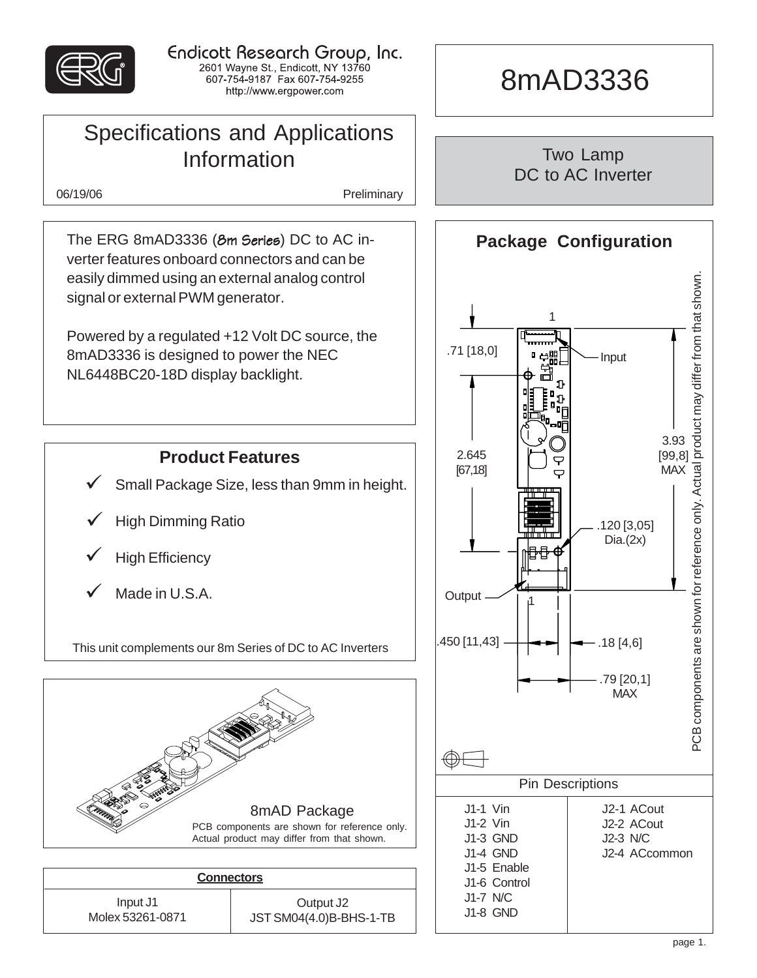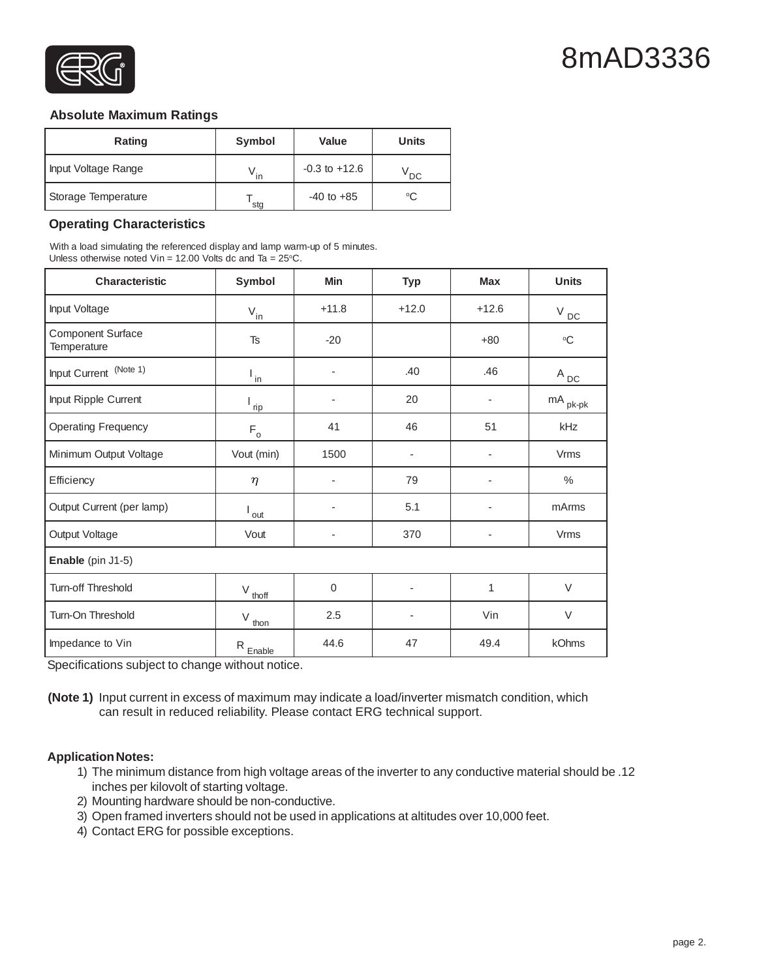

# 8mAD3336

#### **Absolute Maximum Ratings**

| Rating              | Symbol | <b>Value</b>      | <b>Units</b> |
|---------------------|--------|-------------------|--------------|
| Input Voltage Range | in     | $-0.3$ to $+12.6$ | <b>DC</b>    |
| Storage Temperature | stg    | $-40$ to $+85$    | °C           |

#### **Operating Characteristics**

With a load simulating the referenced display and lamp warm-up of 5 minutes. Unless otherwise noted Vin = 12.00 Volts dc and Ta =  $25^{\circ}$ C.

| <b>Characteristic</b>                   | Symbol                      | Min                      | <b>Typ</b>               | <b>Max</b> | <b>Units</b>          |  |  |
|-----------------------------------------|-----------------------------|--------------------------|--------------------------|------------|-----------------------|--|--|
| Input Voltage                           | $V_{\underline{\text{in}}}$ | $+11.8$                  | $+12.0$                  | $+12.6$    | $V_{DC}$              |  |  |
| <b>Component Surface</b><br>Temperature | <b>Ts</b>                   | $-20$                    |                          | $+80$      | $\rm ^{\circ}C$       |  |  |
| Input Current (Note 1)                  | $\frac{1}{2}$               | $\overline{\phantom{a}}$ | .40                      | .46        | $A_{DC}$              |  |  |
| Input Ripple Current                    | $\frac{1}{\underline{np}}$  |                          | 20                       |            | $mA$ <sub>pk-pk</sub> |  |  |
| <b>Operating Frequency</b>              | $F_{\circ}$                 | 41                       | 46                       | 51         | kHz                   |  |  |
| Minimum Output Voltage                  | Vout (min)                  | 1500                     | $\overline{\phantom{a}}$ |            | <b>Vrms</b>           |  |  |
| Efficiency                              | $\eta$                      | $\overline{a}$           | 79                       |            | $\frac{0}{0}$         |  |  |
| Output Current (per lamp)               | out                         | $\overline{\phantom{a}}$ | 5.1                      |            | mArms                 |  |  |
| Output Voltage                          | Vout                        | ٠                        | 370                      |            | <b>Vrms</b>           |  |  |
| Enable (pin J1-5)                       |                             |                          |                          |            |                       |  |  |
| Turn-off Threshold                      | V<br>thoff                  | $\boldsymbol{0}$         | ٠                        | 1          | $\vee$                |  |  |
| Turn-On Threshold                       | V<br>thon                   | 2.5                      |                          | Vin        | $\vee$                |  |  |
| Impedance to Vin                        | $R_{Enable}$                | 44.6                     | 47                       | 49.4       | kOhms                 |  |  |

Specifications subject to change without notice.

**(Note 1)** Input current in excess of maximum may indicate a load/inverter mismatch condition, which can result in reduced reliability. Please contact ERG technical support.

#### **Application Notes:**

- 1) The minimum distance from high voltage areas of the inverter to any conductive material should be .12 inches per kilovolt of starting voltage.
- 2) Mounting hardware should be non-conductive.
- 3) Open framed inverters should not be used in applications at altitudes over 10,000 feet.
- 4) Contact ERG for possible exceptions.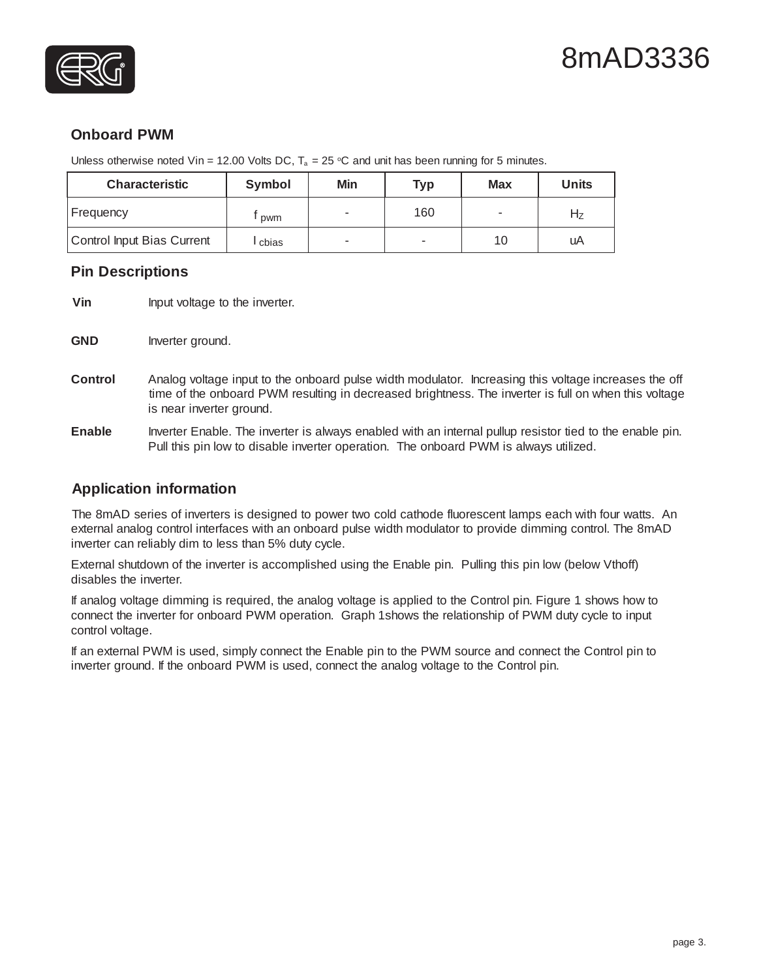



## **Onboard PWM**

Unless otherwise noted Vin = 12.00 Volts DC,  $T_a = 25$  °C and unit has been running for 5 minutes.

| <b>Characteristic</b>      | Symbol | Min | <b>Typ</b> | <b>Max</b> | <b>Units</b> |
|----------------------------|--------|-----|------------|------------|--------------|
| Frequency                  | pwm    |     | 160        |            | Ηz           |
| Control Input Bias Current | cbias  |     | ۰          | 10         | uA           |

### **Pin Descriptions**

**Vin** Input voltage to the inverter.

- GND Inverter ground.
- **Control** Analog voltage input to the onboard pulse width modulator. Increasing this voltage increases the off time of the onboard PWM resulting in decreased brightness. The inverter is full on when this voltage is near inverter ground.
- **Enable** Inverter Enable. The inverter is always enabled with an internal pullup resistor tied to the enable pin. Pull this pin low to disable inverter operation. The onboard PWM is always utilized.

### **Application information**

The 8mAD series of inverters is designed to power two cold cathode fluorescent lamps each with four watts. An external analog control interfaces with an onboard pulse width modulator to provide dimming control. The 8mAD inverter can reliably dim to less than 5% duty cycle.

External shutdown of the inverter is accomplished using the Enable pin. Pulling this pin low (below Vthoff) disables the inverter.

If analog voltage dimming is required, the analog voltage is applied to the Control pin. Figure 1 shows how to connect the inverter for onboard PWM operation. Graph 1shows the relationship of PWM duty cycle to input control voltage.

If an external PWM is used, simply connect the Enable pin to the PWM source and connect the Control pin to inverter ground. If the onboard PWM is used, connect the analog voltage to the Control pin.